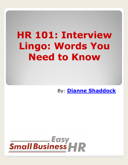## **HR 101: Interview Lingo: Words You Need to Know**

By: **[Dianne Shaddock](http://bit.ly/9ekrRd)**

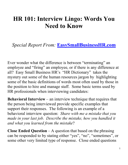## **HR 101: Interview Lingo: Words You Need to Know**

## *Special Report From:* **[EasySmallBusinessHR.com](http://bit.ly/aeaXjo)**

Ever wonder what the difference is between "terminating" an employee and "firing" an employee, or if there is any difference at all? Easy Small Business HR's "HR Dictionary" takes the mystery out some of the human resources jargon by highlighting some of the basic definitions of words most often used by those in the position to hire and manage staff. Some basic terms used by HR professionals when interviewing candidates:

**Behavioral Interview** – an interview technique that requires that the person being interviewed provide specific examples that support their responses. The following is an example of a behavioral interview question: *Share with me a mistake that you made in your last job. Describe the mistake, how you handled it and what you learned from the mistake*?

**Close Ended Question** – A question that based on the phrasing can be responded to by stating either "yes", "no", "sometimes", or some other very limited type of response. Close ended questions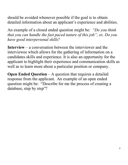should be avoided whenever possible if the goal is to obtain detailed information about an applicant's experience and abilities.

An example of a closed ended question might be: *"Do you think that you can handle the fast paced nature of this job", or, Do you have good interpersonal skills?*

**Interview** – a conversation between the interviewer and the interviewee which allows for the gathering of information on a candidates skills and experience. It is also an opportunity for the applicant to highlight their experience and communication skills as well as to learn more about a particular position or company.

**Open Ended Question** – A question that requires a detailed response from the applicant. An example of an open ended question might be: "Describe for me the process of creating a database, step by step"?